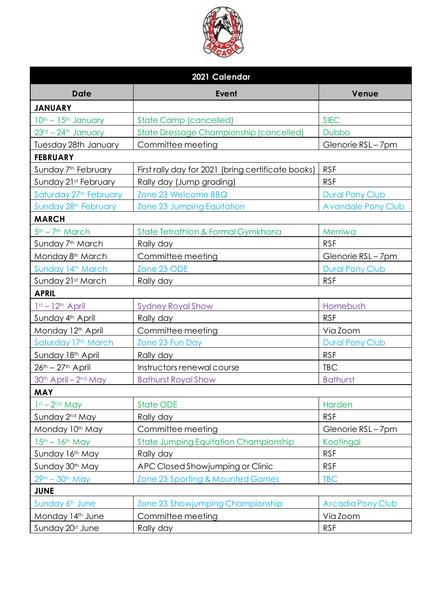

| 2021 Calendar                                |                                                    |                           |  |
|----------------------------------------------|----------------------------------------------------|---------------------------|--|
| <b>Date</b>                                  | Event                                              | Venue                     |  |
| <b>JANUARY</b>                               |                                                    |                           |  |
| 10th - 15th January                          | <b>State Camp (cancelled)</b>                      | <b>SIEC</b>               |  |
| 23rd - 24th January                          | <b>State Dressage Championship (cancelled)</b>     | <b>Dubbo</b>              |  |
| Tuesday 28th January                         | Committee meeting                                  | Glenorie RSL-7pm          |  |
| <b>FEBRUARY</b>                              |                                                    |                           |  |
| Sunday 7 <sup>th</sup> February              | First rally day for 2021 (bring certificate books) | <b>RSF</b>                |  |
| Sunday 21st February                         | Rally day (Jump grading)                           | <b>RSF</b>                |  |
| Saturday 27th February                       | Zone 23 Welcome BBQ                                | <b>Dural Pony Club</b>    |  |
| Sunday 28 <sup>th</sup> February             | Zone 23 Jumping Equitation                         | <b>Avondale Pony Club</b> |  |
| <b>MARCH</b>                                 |                                                    |                           |  |
| 5 <sup>th</sup> - 7 <sup>th</sup> March      | State Tetrathlon & Formal Gymkhana                 | Merriwa                   |  |
| Sunday 7 <sup>th</sup> March                 | Rally day                                          | <b>RSF</b>                |  |
| Monday 8 <sup>th</sup> March                 | Committee meeting                                  | Glenorie RSL-7pm          |  |
| Sunday 14th March                            | Zone 23 ODE                                        | <b>Dural Pony Club</b>    |  |
| Sunday 21st March                            | Rally day                                          | <b>RSF</b>                |  |
| <b>APRIL</b>                                 |                                                    |                           |  |
| $1st - 12th$ April                           | <b>Sydney Royal Show</b>                           | Homebush                  |  |
| Sunday 4th April                             | Rally day                                          | <b>RSF</b>                |  |
| Monday 12 <sup>th</sup> April                | Committee meeting                                  | Via Zoom                  |  |
| Saturday 17 <sup>th</sup> March              | Zone 23 Fun Day                                    | <b>Dural Pony Club</b>    |  |
| Sunday 18th April                            | Rally day                                          | <b>RSF</b>                |  |
| $26^{th} - 27^{th}$ April                    | Instructors renewal course                         | <b>TBC</b>                |  |
| 30 <sup>th</sup> April - 2 <sup>nd</sup> May | <b>Bathurst Royal Show</b>                         | <b>Bathurst</b>           |  |
| <b>MAY</b>                                   |                                                    |                           |  |
| $1st - 2nd$ May                              | <b>State ODE</b>                                   | Harden                    |  |
| Sunday 2 <sup>nd</sup> May                   | Rally day                                          | <b>RSF</b>                |  |
| Monday 10th May                              | Committee meeting                                  | Glenorie RSL-7pm          |  |
| $15th - 16th$ May                            | <b>State Jumping Equitation Championship</b>       | Kootingal                 |  |
| Sunday 16th May                              | Rally day                                          | <b>RSF</b>                |  |
| Sunday 30th May                              | APC Closed Showjumping or Clinic                   | <b>RSF</b>                |  |
| $29th - 30th$ May                            | Zone 23 Sporting & Mounted Games                   | <b>TBC</b>                |  |
| <b>JUNE</b>                                  |                                                    |                           |  |
| Sunday 6th June                              | Zone 23 Showjumping Championship                   | <b>Arcadia Pony Club</b>  |  |
| Monday 14th June                             | Committee meeting                                  | Via Zoom                  |  |
| Sunday 20st June                             | Rally day                                          | <b>RSF</b>                |  |